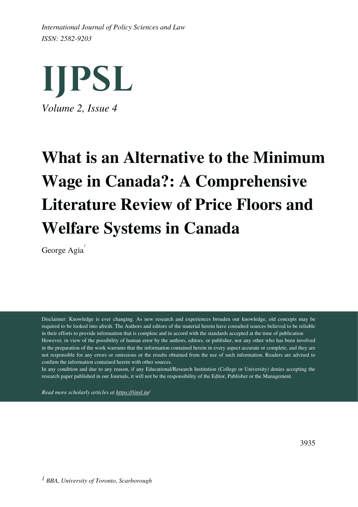*ISSN: 2582-9203 International Journal of Policy Sciences and Law*



# **What is an Alternative to the Minimum Wage in Canada?: A Comprehensive Literature Review of Price Floors and Welfare Systems in Canada**

George Agia<sup>1</sup>

Disclaimer: Knowledge is ever changing. As new research and experiences broaden our knowledge, old concepts may be required to be looked into afresh. The Authors and editors of the material herein have consulted sources believed to be reliable in their efforts to provide information that is complete and in accord with the standards accepted at the time of publication However, in view of the possibility of human error by the authors, editors, or publisher, nor any other who has been involved in the preparation of the work warrants that the information contained herein in every aspect accurate or complete, and they are not responsible for any errors or omissions or the results obtained from the use of such information. Readers are advised to confirm the information contained herein with other sources.

In any condition and due to any reason, if any Educational/Research Institution (College or University) denies accepting the research paper published in our Journals, it will not be the responsibility of the Editor, Publisher or the Management.

*Read more scholarly articles at <https://ijpsl.in/>*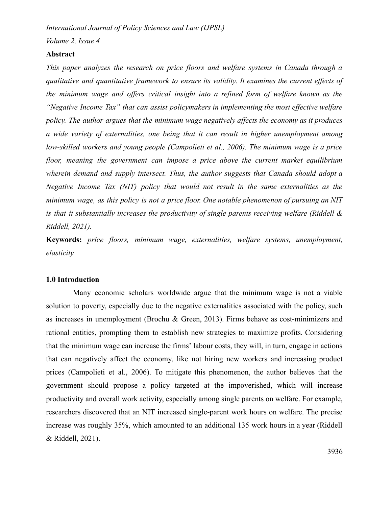*Volume 2, Issue 4*

#### **Abstract**

*This paper analyzes the research on price floors and welfare systems in Canada through a qualitative and quantitative framework to ensure its validity. It examines the current effects of the minimum wage and offers critical insight into a refined form of welfare known as the "Negative Income Tax" that can assist policymakers in implementing the most effective welfare policy. The author argues that the minimum wage negatively affects the economy as it produces a wide variety of externalities, one being that it can result in higher unemployment among low-skilled workers and young people (Campolieti et al., 2006). The minimum wage is a price floor, meaning the government can impose a price above the current market equilibrium wherein demand and supply intersect. Thus, the author suggests that Canada should adopt a Negative Income Tax (NIT) policy that would not result in the same externalities as the minimum wage, as this policy is not a price floor. One notable phenomenon of pursuing an NIT is that it substantially increases the productivity of single parents receiving welfare (Riddell & Riddell, 2021).*

**Keywords:** *price floors, minimum wage, externalities, welfare systems, unemployment, elasticity*

## **1.0 Introduction**

Many economic scholars worldwide argue that the minimum wage is not a viable solution to poverty, especially due to the negative externalities associated with the policy, such as increases in unemployment (Brochu & Green, 2013). Firms behave as cost-minimizers and rational entities, prompting them to establish new strategies to maximize profits. Considering that the minimum wage can increase the firms' labour costs, they will, in turn, engage in actions that can negatively affect the economy, like not hiring new workers and increasing product prices (Campolieti et al., 2006). To mitigate this phenomenon, the author believes that the government should propose a policy targeted at the impoverished, which will increase productivity and overall work activity, especially among single parents on welfare. For example, researchers discovered that an NIT increased single-parent work hours on welfare. The precise increase was roughly 35%, which amounted to an additional 135 work hours in a year (Riddell & Riddell, 2021).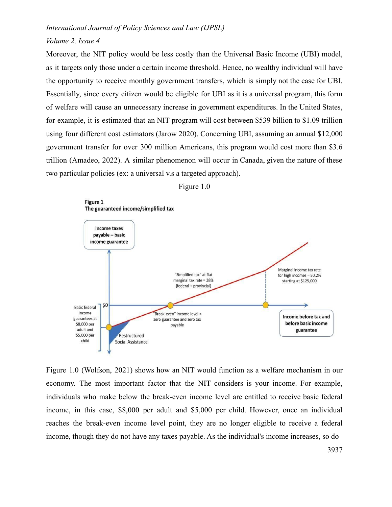### *Volume 2, Issue 4*

Moreover, the NIT policy would be less costly than the Universal Basic Income (UBI) model, as it targets only those under a certain income threshold. Hence, no wealthy individual will have the opportunity to receive monthly government transfers, which is simply not the case for UBI. Essentially, since every citizen would be eligible for UBI as it is a universal program, this form of welfare will cause an unnecessary increase in government expenditures. In the United States, for example, it is estimated that an NIT program will cost between \$539 billion to \$1.09 trillion using four different cost estimators (Jarow 2020). Concerning UBI, assuming an annual \$12,000 government transfer for over 300 million Americans, this program would cost more than \$3.6 trillion (Amadeo, 2022). A similar phenomenon will occur in Canada, given the nature of these two particular policies (ex: a universal v.s a targeted approach).





Figure 1.0 (Wolfson, 2021) shows how an NIT would function as a welfare mechanism in our economy. The most important factor that the NIT considers is your income. For example, individuals who make below the break-even income level are entitled to receive basic federal income, in this case, \$8,000 per adult and \$5,000 per child. However, once an individual reaches the break-even income level point, they are no longer eligible to receive a federal income, though they do not have any taxes payable. As the individual's income increases, so do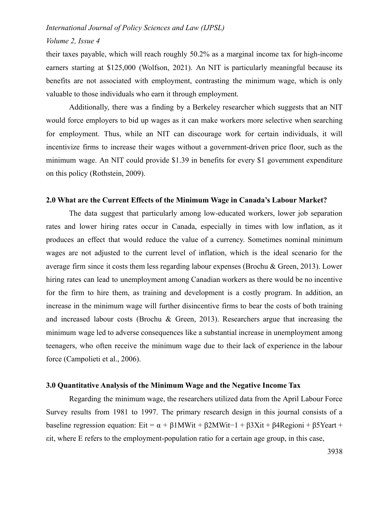#### *Volume 2, Issue 4*

their taxes payable, which will reach roughly 50.2% as a marginal income tax for high-income earners starting at \$125,000 (Wolfson, 2021). An NIT is particularly meaningful because its benefits are not associated with employment, contrasting the minimum wage, which is only valuable to those individuals who earn it through employment.

Additionally, there was a finding by a Berkeley researcher which suggests that an NIT would force employers to bid up wages as it can make workers more selective when searching for employment. Thus, while an NIT can discourage work for certain individuals, it will incentivize firms to increase their wages without a government-driven price floor, such as the minimum wage. An NIT could provide \$1.39 in benefits for every \$1 government expenditure on this policy (Rothstein, 2009).

#### **2.0 What are the Current Effects of the Minimum Wage in Canada's Labour Market?**

The data suggest that particularly among low-educated workers, lower job separation rates and lower hiring rates occur in Canada, especially in times with low inflation, as it produces an effect that would reduce the value of a currency. Sometimes nominal minimum wages are not adjusted to the current level of inflation, which is the ideal scenario for the average firm since it costs them less regarding labour expenses (Brochu & Green, 2013). Lower hiring rates can lead to unemployment among Canadian workers as there would be no incentive for the firm to hire them, as training and development is a costly program. In addition, an increase in the minimum wage will further disincentive firms to bear the costs of both training and increased labour costs (Brochu & Green, 2013). Researchers argue that increasing the minimum wage led to adverse consequences like a substantial increase in unemployment among teenagers, who often receive the minimum wage due to their lack of experience in the labour force (Campolieti et al., 2006).

#### **3.0 Quantitative Analysis of the Minimum Wage and the Negative Income Tax**

Regarding the minimum wage, the researchers utilized data from the April Labour Force Survey results from 1981 to 1997. The primary research design in this journal consists of a baseline regression equation: Eit =  $\alpha$  +  $\beta$ 1MWit +  $\beta$ 2MWit−1 +  $\beta$ 3Xit +  $\beta$ 4Regioni +  $\beta$ 5Yeart + εit, where E refers to the employment-population ratio for a certain age group, in this case,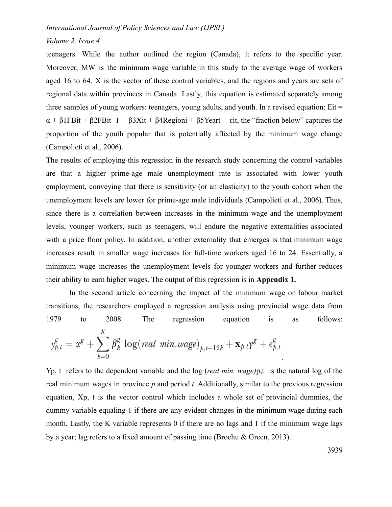#### *Volume 2, Issue 4*

teenagers. While the author outlined the region (Canada), it refers to the specific year. Moreover, MW is the minimum wage variable in this study to the average wage of workers aged 16 to 64. X is the vector of these control variables, and the regions and years are sets of regional data within provinces in Canada. Lastly, this equation is estimated separately among three samples of young workers: teenagers, young adults, and youth. In a revised equation:  $Eit =$  $\alpha$  + β1FBit + β2FBit-1 + β3Xit + β4Regioni + β5Yeart + εit, the "fraction below" captures the proportion of the youth popular that is potentially affected by the minimum wage change (Campolieti et al., 2006).

The results of employing this regression in the research study concerning the control variables are that a higher prime-age male unemployment rate is associated with lower youth employment, conveying that there is sensitivity (or an elasticity) to the youth cohort when the unemployment levels are lower for prime-age male individuals (Campolieti et al., 2006). Thus, since there is a correlation between increases in the minimum wage and the unemployment levels, younger workers, such as teenagers, will endure the negative externalities associated with a price floor policy. In addition, another externality that emerges is that minimum wage increases result in smaller wage increases for full-time workers aged 16 to 24. Essentially, a minimum wage increases the unemployment levels for younger workers and further reduces their ability to earn higher wages. The output of this regression is in **Appendix 1.**

In the second article concerning the impact of the minimum wage on labour market transitions, the researchers employed a regression analysis using provincial wage data from 1979 to 2008. The regression equation is as follows:  $y_{p,t}^g = \alpha^g + \sum_{k=0}^K \beta_k^g \log (real\ min.wage)_{p,t-12k} + \mathbf{x}_{p,t}\gamma^g + \epsilon_{p,t}^g$ .

Yp, t refers to the dependent variable and the log (*real min. wage)*p,t is the natural log of the real minimum wages in province *p* and period *t*. Additionally, similar to the previous regression equation, Xp, t is the vector control which includes a whole set of provincial dummies, the dummy variable equaling 1 if there are any evident changes in the minimum wage during each month. Lastly, the K variable represents 0 if there are no lags and 1 if the minimum wage lags by a year; lag refers to a fixed amount of passing time (Brochu & Green, 2013).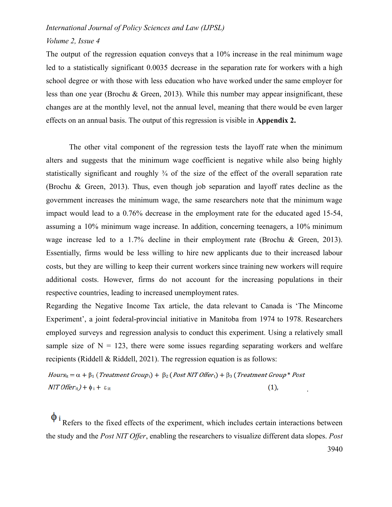#### *Volume 2, Issue 4*

The output of the regression equation conveys that a 10% increase in the real minimum wage led to a statistically significant 0.0035 decrease in the separation rate for workers with a high school degree or with those with less education who have worked under the same employer for less than one year (Brochu & Green, 2013). While this number may appear insignificant, these changes are at the monthly level, not the annual level, meaning that there would be even larger effects on an annual basis. The output of this regression is visible in **Appendix 2.**

The other vital component of the regression tests the layoff rate when the minimum alters and suggests that the minimum wage coefficient is negative while also being highly statistically significant and roughly  $\frac{3}{4}$  of the size of the effect of the overall separation rate (Brochu & Green, 2013). Thus, even though job separation and layoff rates decline as the government increases the minimum wage, the same researchers note that the minimum wage impact would lead to a 0.76% decrease in the employment rate for the educated aged 15-54, assuming a 10% minimum wage increase. In addition, concerning teenagers, a 10% minimum wage increase led to a 1.7% decline in their employment rate (Brochu & Green, 2013). Essentially, firms would be less willing to hire new applicants due to their increased labour costs, but they are willing to keep their current workers since training new workers will require additional costs. However, firms do not account for the increasing populations in their respective countries, leading to increased unemployment rates.

Regarding the Negative Income Tax article, the data relevant to Canada is 'The Mincome Experiment', a joint federal-provincial initiative in Manitoba from 1974 to 1978. Researchers employed surveys and regression analysis to conduct this experiment. Using a relatively small sample size of  $N = 123$ , there were some issues regarding separating workers and welfare recipients (Riddell & Riddell, 2021). The regression equation is as follows:

 $Hours_{it} = \alpha + \beta_1$  (Treatment Group<sub>i</sub>) +  $\beta_2$  (Post NIT Offer<sub>t</sub>) +  $\beta_3$  (Treatment Group<sup>\*</sup> Post)  $NIT$  Offer<sub>it</sub> $)+\phi_i + \varepsilon_{it}$  $(1),$ 

Refers to the fixed effects of the experiment, which includes certain interactions between the study and the *Post NIT Offer*, enabling the researchers to visualize different data slopes. *Post*

3940

.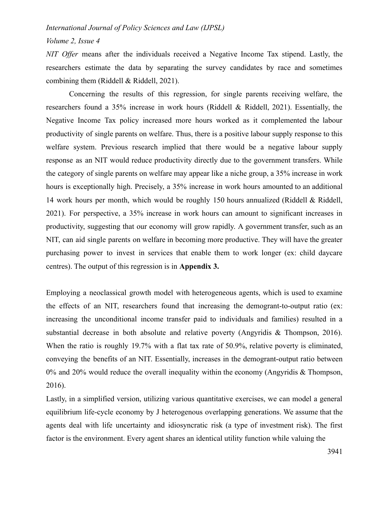#### *Volume 2, Issue 4*

*NIT Offer* means after the individuals received a Negative Income Tax stipend. Lastly, the researchers estimate the data by separating the survey candidates by race and sometimes combining them (Riddell & Riddell, 2021).

Concerning the results of this regression, for single parents receiving welfare, the researchers found a 35% increase in work hours (Riddell & Riddell, 2021). Essentially, the Negative Income Tax policy increased more hours worked as it complemented the labour productivity of single parents on welfare. Thus, there is a positive labour supply response to this welfare system. Previous research implied that there would be a negative labour supply response as an NIT would reduce productivity directly due to the government transfers. While the category of single parents on welfare may appear like a niche group, a 35% increase in work hours is exceptionally high. Precisely, a 35% increase in work hours amounted to an additional 14 work hours per month, which would be roughly 150 hours annualized (Riddell & Riddell, 2021). For perspective, a 35% increase in work hours can amount to significant increases in productivity, suggesting that our economy will grow rapidly. A government transfer, such as an NIT, can aid single parents on welfare in becoming more productive. They will have the greater purchasing power to invest in services that enable them to work longer (ex: child daycare centres). The output of this regression is in **Appendix 3.**

Employing a neoclassical growth model with heterogeneous agents, which is used to examine the effects of an NIT, researchers found that increasing the demogrant-to-output ratio (ex: increasing the unconditional income transfer paid to individuals and families) resulted in a substantial decrease in both absolute and relative poverty (Angyridis & Thompson, 2016). When the ratio is roughly 19.7% with a flat tax rate of 50.9%, relative poverty is eliminated, conveying the benefits of an NIT. Essentially, increases in the demogrant-output ratio between  $0\%$  and  $20\%$  would reduce the overall inequality within the economy (Angyridis & Thompson, 2016).

Lastly, in a simplified version, utilizing various quantitative exercises, we can model a general equilibrium life-cycle economy by J heterogenous overlapping generations. We assume that the agents deal with life uncertainty and idiosyncratic risk (a type of investment risk). The first factor is the environment. Every agent shares an identical utility function while valuing the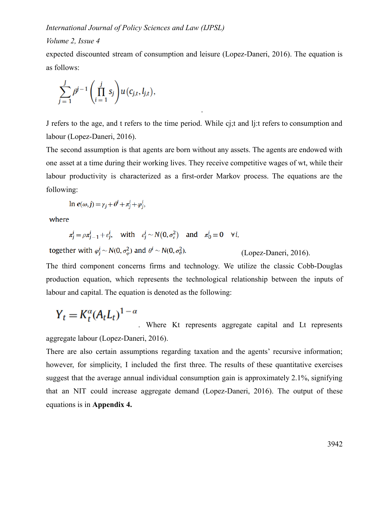#### *Volume 2, Issue 4*

expected discounted stream of consumption and leisure (Lopez-Daneri, 2016). The equation is as follows:

$$
\sum_{j=1}^J \beta^{j-1} \left( \prod_{i=1}^j s_j \right) u(c_{j,t}, l_{j,t}),
$$

J refers to the age, and t refers to the time period. While cj;t and lj:t refers to consumption and labour (Lopez-Daneri, 2016).

.

The second assumption is that agents are born without any assets. The agents are endowed with one asset at a time during their working lives. They receive competitive wages of wt, while their labour productivity is characterized as a first-order Markov process. The equations are the following:

ln  $e(\omega, j) = \gamma_j + \theta^i + \pi^j_j + \varphi^i_j$ ,

where

$$
\pi_j^i = \rho \pi_{j-1}^i + \varepsilon_j^i, \quad \text{with} \quad \varepsilon_j^i \sim N(0, \sigma_{\varepsilon}^2) \quad \text{and} \quad \pi_0^i \equiv 0 \quad \forall i,
$$

together with  $\varphi_i^i \sim N(0, \sigma_\omega^2)$  and  $\theta^i \sim N(0, \sigma_\theta^2)$ .

(Lopez-Daneri, 2016).

The third component concerns firms and technology. We utilize the classic Cobb-Douglas production equation, which represents the technological relationship between the inputs of labour and capital. The equation is denoted as the following:

$$
Y_t = K_t^{\alpha} (A_t L_t)^{1-\alpha}
$$

. Where Kt represents aggregate capital and Lt represents aggregate labour (Lopez-Daneri, 2016).

There are also certain assumptions regarding taxation and the agents' recursive information; however, for simplicity, I included the first three. The results of these quantitative exercises suggest that the average annual individual consumption gain is approximately 2.1%, signifying that an NIT could increase aggregate demand (Lopez-Daneri, 2016). The output of these equations is in **Appendix 4.**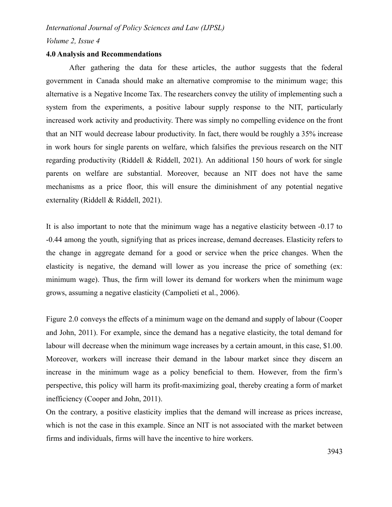*Volume 2, Issue 4*

#### **4.0 Analysis and Recommendations**

After gathering the data for these articles, the author suggests that the federal government in Canada should make an alternative compromise to the minimum wage; this alternative is a Negative Income Tax. The researchers convey the utility of implementing such a system from the experiments, a positive labour supply response to the NIT, particularly increased work activity and productivity. There was simply no compelling evidence on the front that an NIT would decrease labour productivity. In fact, there would be roughly a 35% increase in work hours for single parents on welfare, which falsifies the previous research on the NIT regarding productivity (Riddell & Riddell, 2021). An additional 150 hours of work for single parents on welfare are substantial. Moreover, because an NIT does not have the same mechanisms as a price floor, this will ensure the diminishment of any potential negative externality (Riddell & Riddell, 2021).

It is also important to note that the minimum wage has a negative elasticity between -0.17 to -0.44 among the youth, signifying that as prices increase, demand decreases. Elasticity refers to the change in aggregate demand for a good or service when the price changes. When the elasticity is negative, the demand will lower as you increase the price of something (ex: minimum wage). Thus, the firm will lower its demand for workers when the minimum wage grows, assuming a negative elasticity (Campolieti et al., 2006).

Figure 2.0 conveys the effects of a minimum wage on the demand and supply of labour (Cooper and John, 2011). For example, since the demand has a negative elasticity, the total demand for labour will decrease when the minimum wage increases by a certain amount, in this case, \$1.00. Moreover, workers will increase their demand in the labour market since they discern an increase in the minimum wage as a policy beneficial to them. However, from the firm's perspective, this policy will harm its profit-maximizing goal, thereby creating a form of market inefficiency (Cooper and John, 2011).

On the contrary, a positive elasticity implies that the demand will increase as prices increase, which is not the case in this example. Since an NIT is not associated with the market between firms and individuals, firms will have the incentive to hire workers.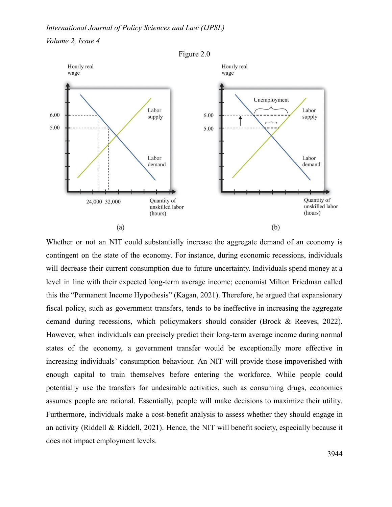



Whether or not an NIT could substantially increase the aggregate demand of an economy is contingent on the state of the economy. For instance, during economic recessions, individuals will decrease their current consumption due to future uncertainty. Individuals spend money at a level in line with their expected long-term average income; economist Milton Friedman called this the "Permanent Income Hypothesis" (Kagan, 2021). Therefore, he argued that expansionary fiscal policy, such as government transfers, tends to be ineffective in increasing the aggregate demand during recessions, which policymakers should consider (Brock & Reeves, 2022). However, when individuals can precisely predict their long-term average income during normal states of the economy, a government transfer would be exceptionally more effective in increasing individuals' consumption behaviour. An NIT will provide those impoverished with enough capital to train themselves before entering the workforce. While people could potentially use the transfers for undesirable activities, such as consuming drugs, economics assumes people are rational. Essentially, people will make decisions to maximize their utility. Furthermore, individuals make a cost-benefit analysis to assess whether they should engage in an activity (Riddell & Riddell, 2021). Hence, the NIT will benefit society, especially because it does not impact employment levels.

Figure 2.0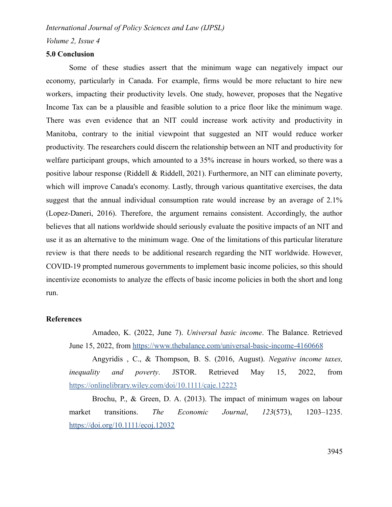*Volume 2, Issue 4*

#### **5.0 Conclusion**

Some of these studies assert that the minimum wage can negatively impact our economy, particularly in Canada. For example, firms would be more reluctant to hire new workers, impacting their productivity levels. One study, however, proposes that the Negative Income Tax can be a plausible and feasible solution to a price floor like the minimum wage. There was even evidence that an NIT could increase work activity and productivity in Manitoba, contrary to the initial viewpoint that suggested an NIT would reduce worker productivity. The researchers could discern the relationship between an NIT and productivity for welfare participant groups, which amounted to a 35% increase in hours worked, so there was a positive labour response (Riddell & Riddell, 2021). Furthermore, an NIT can eliminate poverty, which will improve Canada's economy. Lastly, through various quantitative exercises, the data suggest that the annual individual consumption rate would increase by an average of 2.1% (Lopez-Daneri, 2016). Therefore, the argument remains consistent. Accordingly, the author believes that all nations worldwide should seriously evaluate the positive impacts of an NIT and use it as an alternative to the minimum wage. One of the limitations of this particular literature review is that there needs to be additional research regarding the NIT worldwide. However, COVID-19 prompted numerous governments to implement basic income policies, so this should incentivize economists to analyze the effects of basic income policies in both the short and long run.

#### **References**

Amadeo, K. (2022, June 7). *Universal basic income*. The Balance. Retrieved June 15, 2022, from <https://www.thebalance.com/universal-basic-income-4160668>

Angyridis , C., & Thompson, B. S. (2016, August). *Negative income taxes, inequality and poverty*. JSTOR. Retrieved May 15, 2022, from <https://onlinelibrary.wiley.com/doi/10.1111/caje.12223>

Brochu, P., & Green, D. A. (2013). The impact of minimum wages on labour market transitions. *The Economic Journal*, *123*(573), 1203–1235. <https://doi.org/10.1111/ecoj.12032>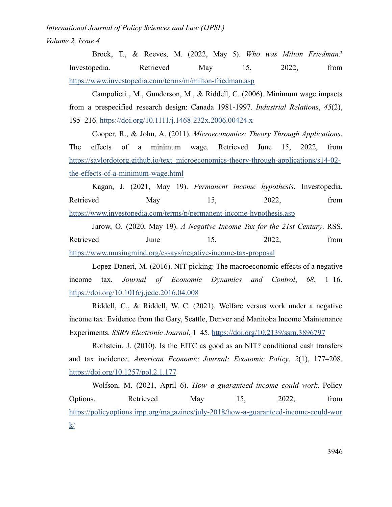*Volume 2, Issue 4*

Brock, T., & Reeves, M. (2022, May 5). *Who was Milton Friedman?* Investopedia. Retrieved May 15, 2022, from <https://www.investopedia.com/terms/m/milton-friedman.asp>

Campolieti , M., Gunderson, M., & Riddell, C. (2006). Minimum wage impacts from a prespecified research design: Canada 1981-1997. *Industrial Relations*, *45*(2), 195–216. <https://doi.org/10.1111/j.1468-232x.2006.00424.x>

Cooper, R., & John, A. (2011). *Microeconomics: Theory Through Applications*. The effects of a minimum wage. Retrieved June 15, 2022, from [https://saylordotorg.github.io/text\\_microeconomics-theory-through-applications/s14-02](https://saylordotorg.github.io/text_microeconomics-theory-through-applications/s14-02-the-effects-of-a-minimum-wage.html) [the-effects-of-a-minimum-wage.html](https://saylordotorg.github.io/text_microeconomics-theory-through-applications/s14-02-the-effects-of-a-minimum-wage.html)

Kagan, J. (2021, May 19). *Permanent income hypothesis*. Investopedia. Retrieved May 15, 2022, from <https://www.investopedia.com/terms/p/permanent-income-hypothesis.asp>

Jarow, O. (2020, May 19). *A Negative Income Tax for the 21st Century*. RSS. Retrieved June 15, 2022, from <https://www.musingmind.org/essays/negative-income-tax-proposal>

Lopez-Daneri, M. (2016). NIT picking: The macroeconomic effects of a negative income tax. *Journal of Economic Dynamics and Control*, *68*, 1–16. <https://doi.org/10.1016/j.jedc.2016.04.008>

Riddell, C., & Riddell, W. C. (2021). Welfare versus work under a negative income tax: Evidence from the Gary, Seattle, Denver and Manitoba Income Maintenance Experiments. *SSRN Electronic Journal*, 1–45. <https://doi.org/10.2139/ssrn.3896797>

Rothstein, J. (2010). Is the EITC as good as an NIT? conditional cash transfers and tax incidence. *American Economic Journal: Economic Policy*, *2*(1), 177–208. <https://doi.org/10.1257/pol.2.1.177>

Wolfson, M. (2021, April 6). *How a guaranteed income could work*. Policy Options. Retrieved May 15, 2022, from [https://policyoptions.irpp.org/magazines/july-2018/how-a-guaranteed-income-could-wor](https://policyoptions.irpp.org/magazines/july-2018/how-a-guaranteed-income-could-work/)  $k/$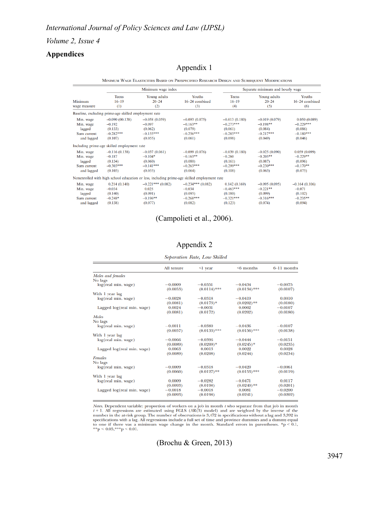*Volume 2, Issue 4*

## **Appendices**

## Appendix 1

|  | MINIMUM WAGE ELASTICITIES BASED ON PRESPECIFIED RESEARCH DESIGN AND SUBSEQUENT MODIFICATIONS |
|--|----------------------------------------------------------------------------------------------|
|  |                                                                                              |

| <b>Teens</b><br>$16 - 19$<br>Minimum<br>(1)<br>wage measure   | Minimum wage index                                                |                                                                                             | Separate minimum and hourly wage                                     |                                                                     |                                                                    |                                                                  |
|---------------------------------------------------------------|-------------------------------------------------------------------|---------------------------------------------------------------------------------------------|----------------------------------------------------------------------|---------------------------------------------------------------------|--------------------------------------------------------------------|------------------------------------------------------------------|
|                                                               |                                                                   | Young adults<br>$20 - 24$<br>(2)                                                            | Youths<br>$16-24$ combined<br>(3)                                    | <b>Teens</b><br>$16 - 19$<br>(4)                                    | Young adults<br>$20 - 24$<br>(5)                                   | Youths<br>16–24 combined<br>(6)                                  |
|                                                               | Baseline, excluding prime-age skilled employment rate             |                                                                                             |                                                                      |                                                                     |                                                                    |                                                                  |
| Min. wage<br>Min. wage<br>lagged<br>Sum current<br>and lagged | $-0.090(00.138)$<br>$-0.192$<br>(0.133)<br>$-0.282***$<br>(0.107) | $-0.058(0.059)$<br>$-0.097$<br>(0.062)<br>$-0.155***$<br>(0.055)                            | $-0.093(0.075)$<br>$-0.163**$<br>(0.079)<br>$-0.256***$<br>(0.061)   | $-0.013(0.180)$<br>$-0.273***$<br>(0.061)<br>$-0.285***$<br>(0.098) | $-0.019(0.079)$<br>$-0.198**$<br>(0.084)<br>$-0.217***$<br>(0.049) | 0.050(0.089)<br>$-0.229***$<br>(0.086)<br>$-0.180***$<br>(0.046) |
|                                                               | Including prime-age skilled employment rate                       |                                                                                             |                                                                      |                                                                     |                                                                    |                                                                  |
| Min. wage<br>Min. wage<br>lagged<br>Sum current<br>and lagged | $-0.116(0.138)$<br>$-0.187$<br>(0.134)<br>$-0.303***$<br>(0.103)  | $-0.037(0.061)$<br>$-0.104*$<br>(0.060)<br>$-0.141***$<br>(0.055)                           | $-0.099(0.076)$<br>$-0.163**$<br>(0.080)<br>$-0.263***$<br>(0.064)   | $-0.039(0.180)$<br>$-0.260$<br>(0.161)<br>$-0.299***$<br>(0.108)    | $-0.025(0.090)$<br>$-0.205**$<br>(0.087)<br>$-0.230***$<br>(0.063) | 0.059(0.099)<br>$-0.229**$<br>(0.096)<br>$-0.170**$<br>(0.075)   |
|                                                               |                                                                   | Nonenrolled with high school education or less, including prime-age skilled employment rate |                                                                      |                                                                     |                                                                    |                                                                  |
| Min. wage<br>Min. wage<br>lagged<br>Sum current<br>and lagged | 0.214(0.140)<br>$-0.034$<br>(0.140)<br>$-0.248*$<br>(0.138)       | $-0.221***(0.082)$<br>0.025<br>(0.091)<br>$-0.196**$<br>(0.077)                             | $-0.234***$ (0.082)<br>$-0.034$<br>(0.095)<br>$-0.268***$<br>(0.082) | 0.142(0.169)<br>$-0.463***$<br>(0.180)<br>$-0.321***$<br>(0.123)    | $-0.095(0.095)$<br>$-0.221**$<br>(0.099)<br>$-0.316***$<br>(0.074) | $-0.164(0.106)$<br>$-0.071$<br>(0.102)<br>$-0.235**$<br>(0.094)  |

## (Campolieti et al., 2006).

## Appendix 2

Separation Rate, Low Skilled

|                            | All tenure | $\leq$ l year  | $\leq 6$ months | 6-11 months |
|----------------------------|------------|----------------|-----------------|-------------|
| Males and females          |            |                |                 |             |
| No lags                    |            |                |                 |             |
| log(real min. wage)        | $-0.0009$  | $-0.0351$      | $-0.0434$       | $-0.0075$   |
|                            | (0.0053)   | $(0.0114)$ *** | $(0.0134)$ ***  | (0.0107)    |
| With 1 year lag            |            |                |                 |             |
| log(real min. wage)        | $-0.0028$  | $-0.0318$      | $-0.0419$       | 0.0010      |
|                            | (0.0081)   | $(0.0173)*$    | $(0.0202)*$     | (0.0180)    |
| Lagged log(real min. wage) | 0.0024     | $-0.0031$      | 0.0002          | $-0.0107$   |
|                            | (0.0081)   | (0.0172)       | (0.0202)        | (0.0180)    |
| <b>Males</b>               |            |                |                 |             |
| No lags                    |            |                |                 |             |
| log(real min. wage)        | $-0.0011$  | $-0.0380$      | $-0.0436$       | $-0.0107$   |
|                            | (0.0057)   | $(0.0133)$ *** | $(0.0156)$ ***  | (0.0138)    |
| With 1 year lag            |            |                |                 |             |
| log(real min. wage)        | $-0.0066$  | $-0.0396$      | $-0.0444$       | $-0.0151$   |
|                            | (0.0089)   | $(0.0209)*$    | $(0.0245)*$     | (0.0235)    |
| Lagged log(real min. wage) | 0.0063     | 0.0013         | 0.0022          | 0.0028      |
|                            | (0.0089)   | (0.0208)       | (0.0244)        | (0.0234)    |
| Females                    |            |                |                 |             |
| No lags                    |            |                |                 |             |
| log(real min. wage)        | $-0.0009$  | $-0.0318$      | $-0.0420$       | $-0.0061$   |
|                            | (0.0060)   | $(0.0127)$ **  | $(0.0153)$ ***  | (0.0119)    |
| With 1 year lag            |            |                |                 |             |
| log(real min. wage)        | 0.0009     | $-0.0282$      | $-0.0471$       | 0.0117      |
|                            | (0.0093)   | (0.0198)       | $(0.0240)*$     | (0.0201)    |
| Lagged log(real min. wage) | $-0.0018$  | $-0.0018$      | 0.0081          | $-0.0200$   |
|                            | (0.0093)   | (0.0198)       | (0.0241)        | (0.0202)    |

Notes. Dependent variable: proportion of workers on a job in month t who separate from that job in month *Notes.* Dependent variable. The proportion of workers on a joo in month *t* who separate from that  $f \rightarrow 1$ . All regressions are estimated using FGLS (AR(3) model) and are weighted by the inverse of the number in the at-r

(Brochu & Green, 2013)